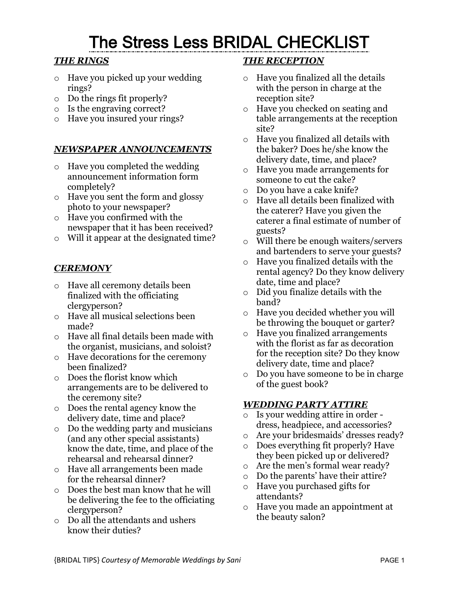# The Stress Less BRIDAL CHECKLIST

# *THE RINGS*

- o Have you picked up your wedding rings?
- o Do the rings fit properly?
- o Is the engraving correct?
- o Have you insured your rings?

# *NEWSPAPER ANNOUNCEMENTS*

- o Have you completed the wedding announcement information form completely?
- o Have you sent the form and glossy photo to your newspaper?
- o Have you confirmed with the newspaper that it has been received?
- o Will it appear at the designated time?

# *CEREMONY*

- o Have all ceremony details been finalized with the officiating clergyperson?
- o Have all musical selections been made?
- o Have all final details been made with the organist, musicians, and soloist?
- o Have decorations for the ceremony been finalized?
- o Does the florist know which arrangements are to be delivered to the ceremony site?
- o Does the rental agency know the delivery date, time and place?
- o Do the wedding party and musicians (and any other special assistants) know the date, time, and place of the rehearsal and rehearsal dinner?
- o Have all arrangements been made for the rehearsal dinner?
- o Does the best man know that he will be delivering the fee to the officiating clergyperson?
- o Do all the attendants and ushers know their duties?

### *THE RECEPTION*

- o Have you finalized all the details with the person in charge at the reception site?
- o Have you checked on seating and table arrangements at the reception site?
- o Have you finalized all details with the baker? Does he/she know the delivery date, time, and place?
- o Have you made arrangements for someone to cut the cake?
- o Do you have a cake knife?
- o Have all details been finalized with the caterer? Have you given the caterer a final estimate of number of guests?
- o Will there be enough waiters/servers and bartenders to serve your guests?
- o Have you finalized details with the rental agency? Do they know delivery date, time and place?
- o Did you finalize details with the band?
- o Have you decided whether you will be throwing the bouquet or garter?
- o Have you finalized arrangements with the florist as far as decoration for the reception site? Do they know delivery date, time and place?
- o Do you have someone to be in charge of the guest book?

# *WEDDING PARTY ATTIRE*

- o Is your wedding attire in order dress, headpiece, and accessories?
- o Are your bridesmaids' dresses ready?
- o Does everything fit properly? Have they been picked up or delivered?
- o Are the men's formal wear ready?
- o Do the parents' have their attire?
- o Have you purchased gifts for attendants?
- o Have you made an appointment at the beauty salon?